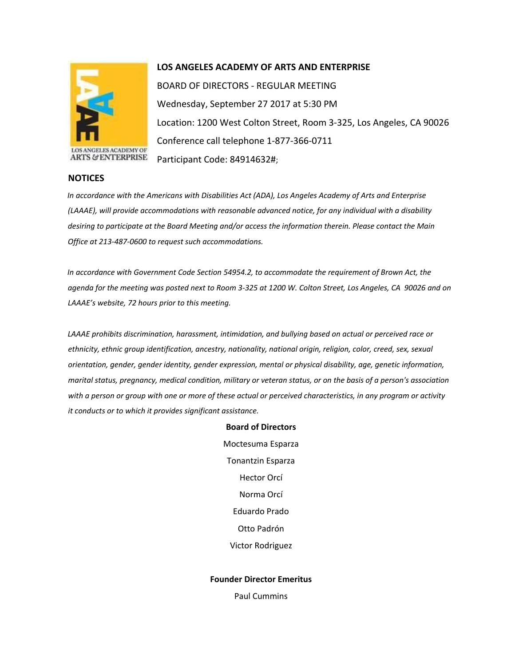

## **LOS ANGELES ACADEMY OF ARTS AND ENTERPRISE**

BOARD OF DIRECTORS - REGULAR MEETING Wednesday, September 27 2017 at 5:30 PM Location: 1200 West Colton Street, Room 3-325, Los Angeles, CA 90026 Conference call telephone 1-877-366-0711 Participant Code: 84914632#;

## **NOTICES**

*In accordance with the Americans with Disabilities Act (ADA), Los Angeles Academy of Arts and Enterprise (LAAAE), will provide accommodations with reasonable advanced notice, for any individual with a disability desiring to participate at the Board Meeting and/or access the information therein. Please contact the Main Office at 213-487-0600 to request such accommodations.* 

*In accordance with Government Code Section 54954.2, to accommodate the requirement of Brown Act, the agenda for the meeting was posted next to Room 3-325 at 1200 W. Colton Street, Los Angeles, CA 90026 and on LAAAE's website, 72 hours prior to this meeting.* 

*LAAAE prohibits discrimination, harassment, intimidation, and bullying based on actual or perceived race or ethnicity, ethnic group identification, ancestry, nationality, national origin, religion, color, creed, sex, sexual orientation, gender, gender identity, gender expression, mental or physical disability, age, genetic information, marital status, pregnancy, medical condition, military or veteran status, or on the basis of a person's association with a person or group with one or more of these actual or perceived characteristics, in any program or activity it conducts or to which it provides significant assistance.* 

> **Board of Directors** Moctesuma Esparza Tonantzin Esparza Hector Orcí Norma Orcí Eduardo Prado Otto Padrón Victor Rodriguez

## **Founder Director Emeritus**

Paul Cummins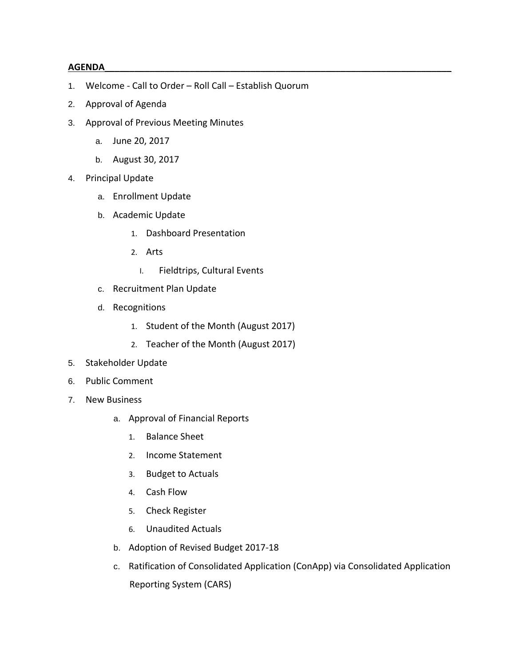## **AGENDA\_\_\_\_\_\_\_\_\_\_\_\_\_\_\_\_\_\_\_\_\_\_\_\_\_\_\_\_\_\_\_\_\_\_\_\_\_\_\_\_\_\_\_\_\_\_\_\_\_\_\_\_\_\_\_\_\_\_\_\_\_\_\_\_\_\_\_\_\_**

- 1. Welcome Call to Order Roll Call Establish Quorum
- 2. Approval of Agenda
- 3. Approval of Previous Meeting Minutes
	- a. June 20, 2017
	- b. August 30, 2017
- 4. Principal Update
	- a. Enrollment Update
	- b. Academic Update
		- 1. Dashboard Presentation
		- 2. Arts
			- I. Fieldtrips, Cultural Events
	- c. Recruitment Plan Update
	- d. Recognitions
		- 1. Student of the Month (August 2017)
		- 2. Teacher of the Month (August 2017)
- 5. Stakeholder Update
- 6. Public Comment
- 7. New Business
	- a. Approval of Financial Reports
		- 1. Balance Sheet
		- 2. Income Statement
		- 3. Budget to Actuals
		- 4. Cash Flow
		- 5. Check Register
		- 6. Unaudited Actuals
	- b. Adoption of Revised Budget 2017-18
	- c. Ratification of Consolidated Application (ConApp) via Consolidated Application Reporting System (CARS)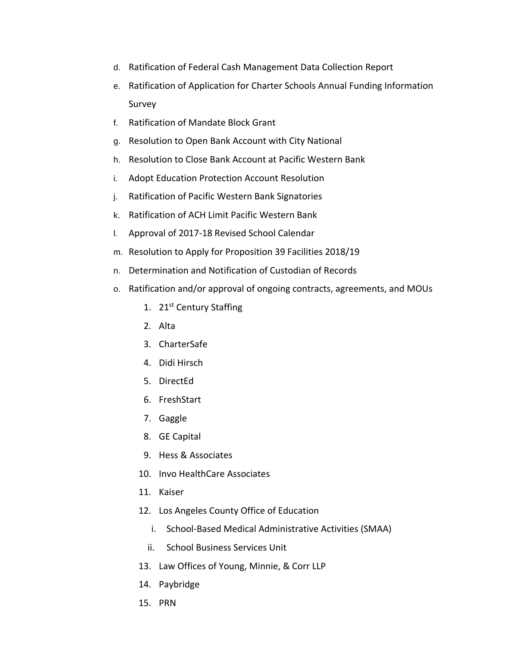- d. Ratification of Federal Cash Management Data Collection Report
- e. Ratification of Application for Charter Schools Annual Funding Information Survey
- f. Ratification of Mandate Block Grant
- g. Resolution to Open Bank Account with City National
- h. Resolution to Close Bank Account at Pacific Western Bank
- i. Adopt Education Protection Account Resolution
- j. Ratification of Pacific Western Bank Signatories
- k. Ratification of ACH Limit Pacific Western Bank
- l. Approval of 2017-18 Revised School Calendar
- m. Resolution to Apply for Proposition 39 Facilities 2018/19
- n. Determination and Notification of Custodian of Records
- o. Ratification and/or approval of ongoing contracts, agreements, and MOUs
	- 1. 21<sup>st</sup> Century Staffing
	- 2. Alta
	- 3. CharterSafe
	- 4. Didi Hirsch
	- 5. DirectEd
	- 6. FreshStart
	- 7. Gaggle
	- 8. GE Capital
	- 9. Hess & Associates
	- 10. Invo HealthCare Associates
	- 11. Kaiser
	- 12. Los Angeles County Office of Education
		- i. School-Based Medical Administrative Activities (SMAA)
		- ii. School Business Services Unit
	- 13. Law Offices of Young, Minnie, & Corr LLP
	- 14. Paybridge
	- 15. PRN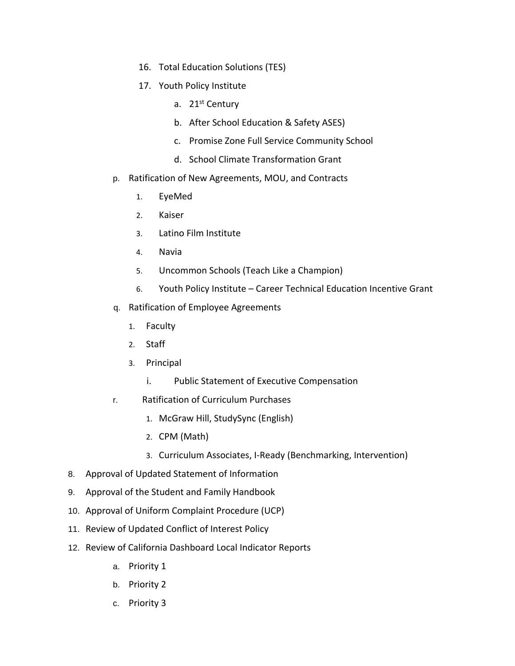- 16. Total Education Solutions (TES)
- 17. Youth Policy Institute
	- a. 21<sup>st</sup> Century
	- b. After School Education & Safety ASES)
	- c. Promise Zone Full Service Community School
	- d. School Climate Transformation Grant
- p. Ratification of New Agreements, MOU, and Contracts
	- 1. EyeMed
	- 2. Kaiser
	- 3. Latino Film Institute
	- 4. Navia
	- 5. Uncommon Schools (Teach Like a Champion)
	- 6. Youth Policy Institute Career Technical Education Incentive Grant
- q. Ratification of Employee Agreements
	- 1. Faculty
	- 2. Staff
	- 3. Principal
		- i. Public Statement of Executive Compensation
- r. Ratification of Curriculum Purchases
	- 1. McGraw Hill, StudySync (English)
	- 2. CPM (Math)
	- 3. Curriculum Associates, I-Ready (Benchmarking, Intervention)
- 8. Approval of Updated Statement of Information
- 9. Approval of the Student and Family Handbook
- 10. Approval of Uniform Complaint Procedure (UCP)
- 11. Review of Updated Conflict of Interest Policy
- 12. Review of California Dashboard Local Indicator Reports
	- a. Priority 1
	- b. Priority 2
	- c. Priority 3